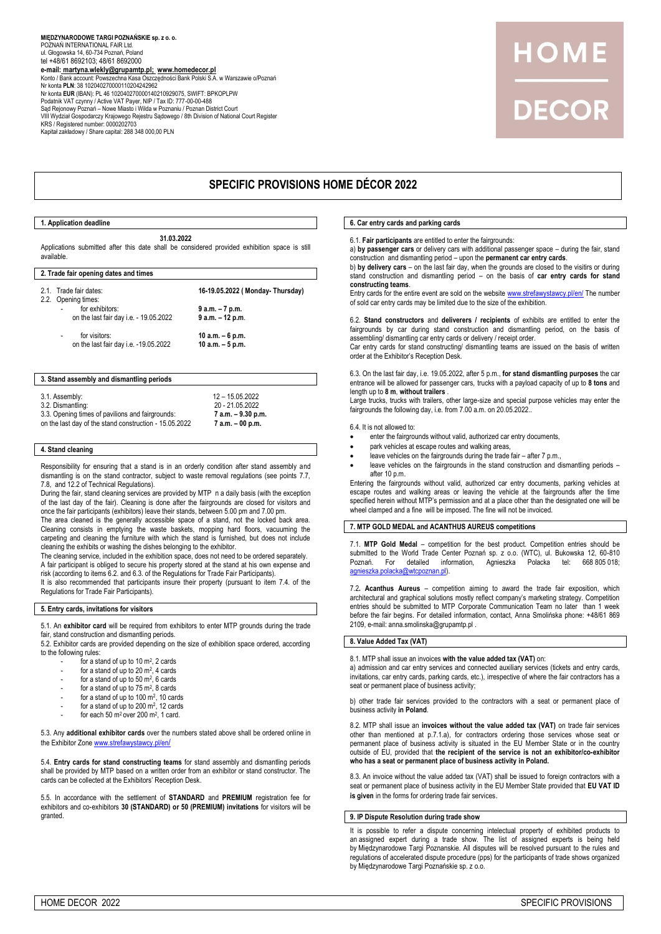# **MIĘDZYNARODOWE TARGI POZNAŃSKIE sp. z o. o.** POZNAŃ INTERNATIONAL FAIR Ltd. ul. Głogowska 14, 60-734 Poznań, Poland tel +48/61 8692103; 48/61 8692000 **e-mail: <u>[martyna.wlekly@grupamtp.pl;](mailto:martyna.wlekly@grupamtp.pl)  www.homedecor.pl</u><br>Konto / Bank account: Powszechna Kasa Oszczędności Bank Polski S.A. w Warszawie o/Poznań<br>Nr konta <b>PLN**: 38 102040270000110204242962 Nr konta **EUR** (IBAN): PL 46 102040270000140210929075, SWIFT: BPKOPLPW Podatnik VAT czynny / Active VAT Payer, NIP / Tax ID: 777-00-00-488 Sąd Rejonowy Poznań – Nowe Miasto i Wilda w Poznaniu / Poznan District Court VIII Wydział Gospodarczy Krajowego Rejestru Sądowego / 8th Division of National Court Register<br>KRS / Registered number: 0000202703<br>Kapitał zakładowy / Share capital: 288 348 000,00 PLN

# DECOR

# **SPECIFIC PROVISIONS HOME DÉCOR 2022**

#### **1. Application deadline**

**31.03.2022** Applications submitted after this date shall be considered provided exhibition space is still available.

## **2. Trade fair opening dates and times**

| 2.1. Trade fair dates:                                             | 16-19.05.2022 ( Monday- Thursday) |
|--------------------------------------------------------------------|-----------------------------------|
| 2.2. Opening times:<br>for exhibitors:<br>$\overline{\phantom{a}}$ |                                   |
|                                                                    | 9 a.m. – 7 p.m.                   |
| on the last fair day i.e. - 19.05.2022                             | $9$ a.m. $-12$ p.m.               |
| for visitors:<br>$\overline{\phantom{a}}$                          | 10 a.m. $-6$ p.m.                 |
| on the last fair day i.e. -19.05.2022                              | 10 a.m. $-5$ p.m.                 |
|                                                                    |                                   |

#### **3. Stand assembly and dismantling periods**

3.1. Assembly: 12 – 15.05.2022 3.2. Dismantling: 3.3. Opening times of pavilions and fairgrounds: **7 a.m. – 9.30 p.m.** on the last day of the stand construction - 15.05.2022

#### **4. Stand cleaning**

Responsibility for ensuring that a stand is in an orderly condition after stand assembly and dismantling is on the stand contractor, subject to waste removal regulations (see points 7.7, 7.8, and 12.2 of Technical Regulations).

During the fair, stand cleaning services are provided by MTP n a daily basis (with the exception of the last day of the fair). Cleaning is done after the fairgrounds are closed for visitors and once the fair participants (exhibitors) leave their stands, between 5.00 pm and 7.00 pm.

The area cleaned is the generally accessible space of a stand, not the locked back area. Cleaning consists in emptying the waste baskets, mopping hard floors, vacuuming the carpeting and cleaning the furniture with which the stand is furnished, but does not include cleaning the exhibits or washing the dishes belonging to the exhibitor.

The cleaning service, included in the exhibition space, does not need to be ordered separately. A fair participant is obliged to secure his property stored at the stand at his own expense and risk (according to items 6.2. and 6.3. of the Regulations for Trade Fair Participants).

It is also recommended that participants insure their property (pursuant to item 7.4. of the Regulations for Trade Fair Participants).

# **5. Entry cards, invitations for visitors**

5.1. An **exhibitor card** will be required from exhibitors to enter MTP grounds during the trade fair, stand construction and dismantling periods.

5.2. Exhibitor cards are provided depending on the size of exhibition space ordered, according to the following rules:

- for a stand of up to  $10 \text{ m}^2$ , 2 cards
- for a stand of up to  $20 \text{ m}^2$ , 4 cards
- for a stand of up to  $50 \text{ m}^2$ , 6 cards
- for a stand of up to  $75 \text{ m}^2$ , 8 cards
- for a stand of up to 100 m<sup>2</sup>, 10 cards
- for a stand of up to  $200 \text{ m}^2$ , 12 cards
- $-$  for each 50 m<sup>2</sup> over 200 m<sup>2</sup>, 1 card.

5.3. Any **additional exhibitor cards** over the numbers stated above shall be ordered online in the Exhibitor Zone [www.strefawystawcy.pl/en](http://www.strefawystawcy.pl/en/)/

5.4. **Entry cards for stand constructing teams** for stand assembly and dismantling periods shall be provided by MTP based on a written order from an exhibitor or stand constructor. The cards can be collected at the Exhibitors' Reception Desk.

5.5. In accordance with the settlement of **STANDARD** and **PREMIUM** registration fee for exhibitors and co-exhibitors **30 (STANDARD) or 50 (PREMIUM) invitations** for visitors will be granted.

# **6. Car entry cards and parking cards**

6.1. **Fair participants** are entitled to enter the fairgrounds:

a) **by passenger cars** or delivery cars with additional passenger space – during the fair, stand construction and dismantling period – upon the **permanent car entry cards**.

b) **by delivery cars** – on the last fair day, when the grounds are closed to the visitirs or during stand construction and dismantling period – on the basis of **car entry cards for stand constructing teams**.

Entry cards for the entire event are sold on the websit[e www.strefawystawcy.pl/en/](http://www.strefawystawcy.pl/en/) The number of sold car entry cards may be limited due to the size of the exhibition.

6.2. **Stand constructors** and **deliverers / recipients** of exhibits are entitled to enter the fairgrounds by car during stand construction and dismantling period, on the basis of assembling/ dismantling car entry cards or delivery / receipt order.

Car entry cards for stand constructing/ dismantling teams are issued on the basis of written order at the Exhibitor's Reception Desk.

6.3. On the last fair day, i.e. 19.05.2022, after 5 p.m., **for stand dismantling purposes** the car entrance will be allowed for passenger cars, trucks with a payload capacity of up to **8 tons** and length up to **8 m**, **without trailers** .

Large trucks, trucks with trailers, other large-size and special purpose vehicles may enter the fairgrounds the following day, i.e. from 7.00 a.m. on 20.05.2022..

6.4. It is not allowed to:

- enter the fairgrounds without valid, authorized car entry documents,
- park vehicles at escape routes and walking areas
- leave vehicles on the fairgrounds during the trade fair after 7 p.m.,
- leave vehicles on the fairgrounds in the stand construction and dismantling periods after  $10 \text{ p.m.}$

Entering the fairgrounds without valid, authorized car entry documents, parking vehicles at escape routes and walking areas or leaving the vehicle at the fairgrounds after the time specified herein without MTP's permission and at a place other than the designated one will be wheel clamped and a fine will be imposed. The fine will not be invoiced.

## **7. MTP GOLD MEDAL and ACANTHUS AUREUS competitions**

7.1. **MTP Gold Medal** – competition for the best product. Competition entries should be submitted to the World Trade Center Poznań sp. z o.o. (WTC), ul. Bukowska 12, 60-810<br>Poznań. For detailed information, Agnieszka Polacka tel: 668 805 018; detailed information, [agnieszka.polacka@wtcpoznan.pl\).](mailto:agnieszka.polacka@wtcpoznan.pl)

7.2**. Acanthus Aureus** – competition aiming to award the trade fair exposition, which architectural and graphical solutions mostly reflect company's marketing strategy. Competition entries should be submitted to MTP Corporate Communication Team no later than 1 week before the fair begins. For detailed information, contact, Anna Smolińska phone: +48/61 869 2109, e-mail: anna.smolinska@grupamtp.pl .

# **8. Value Added Tax (VAT)**

#### 8.1. MTP shall issue an invoices **with the value added tax (VAT)** on:

a) admission and car entry services and connected auxiliary services (tickets and entry cards, invitations, car entry cards, parking cards, etc.), irrespective of where the fair contractors has a seat or permanent place of business activity;

b) other trade fair services provided to the contractors with a seat or permanent place of business activity **in Poland**.

8.2. MTP shall issue an **invoices without the value added tax (VAT)** on trade fair services other than mentioned at p.7.1.a), for contractors ordering those services whose seat or permanent place of business activity is situated in the EU Member State or in the country outside of EU, provided that **the recipient of the service is not an exhibitor/co-exhibitor who has a seat or permanent place of business activity in Poland.**

8.3. An invoice without the value added tax (VAT) shall be issued to foreign contractors with a seat or permanent place of business activity in the EU Member State provided that **EU VAT ID is given** in the forms for ordering trade fair services.

#### **9. IP Dispute Resolution during trade show**

It is possible to refer a dispute concerning intelectual property of exhibited products to an assigned expert during a trade show. The list of assigned experts is being held by Międzynarodowe Targi Poznanskie. All disputes will be resolved pursuant to the rules and regulations of accelerated dispute procedure (pps) for the participants of trade shows organized by Międzynarodowe Targi Poznańskie sp. z o.o.